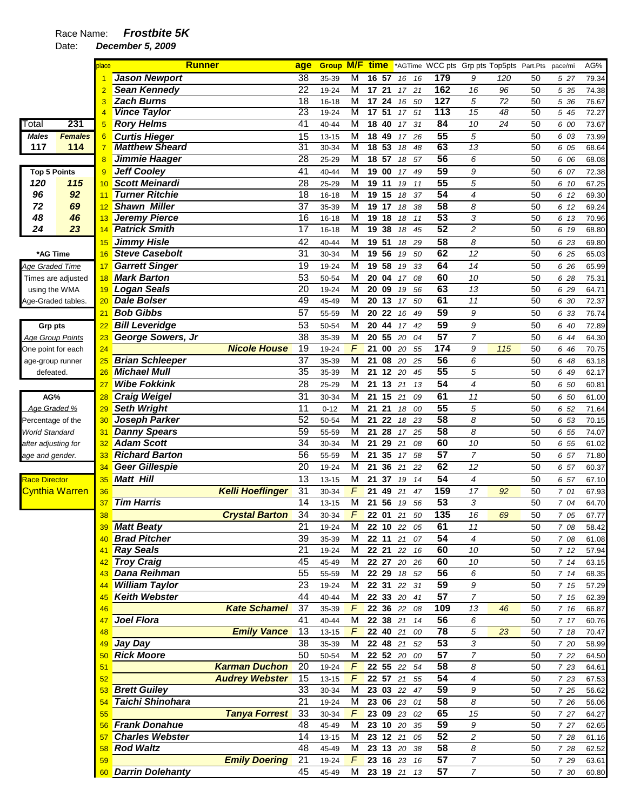|                         |                | place           | <b>Runner</b>          |                         | age             | <b>Group M/F time</b> |                         |                    |          |                         |          |                 |                     | *AGTime WCC pts Grp pts Top5pts Part.Pts |          | pace/mi | AG%   |
|-------------------------|----------------|-----------------|------------------------|-------------------------|-----------------|-----------------------|-------------------------|--------------------|----------|-------------------------|----------|-----------------|---------------------|------------------------------------------|----------|---------|-------|
|                         |                |                 | <b>Jason Newport</b>   |                         | 38              | 35-39                 | M                       | 16 57              |          | 16                      | 16       | 179             | 9                   | 120                                      | 50       | 527     | 79.34 |
|                         |                |                 | <b>Sean Kennedy</b>    |                         | 22              | 19-24                 | M                       | 17                 | 21       | 17                      | 21       | 162             | 16                  | 96                                       | 50       | 5 35    | 74.38 |
|                         |                |                 | <b>Zach Burns</b>      |                         | 18              | $16 - 18$             | M                       | 17                 | 24       | 16                      | 50       | 127             | 5                   | 72                                       | 50       | 5 36    | 76.67 |
|                         |                | 4               | <b>Vince Taylor</b>    |                         | 23              | 19-24                 | M                       | 17                 | 51       | 17                      | 51       | 113             | 15                  | 48                                       | 50       | 5 45    | 72.27 |
| Total                   | 231            | 5               | <b>Rory Helms</b>      |                         | 41              | 40-44                 | M                       | 18                 | 40       | 17                      | 31       | 84              | 10                  | 24                                       | 50       | 6 00    | 73.67 |
| <b>Males</b>            | <b>Females</b> | 6               | <b>Curtis Hieger</b>   |                         | 15              | $13 - 15$             | M                       | 18 49              |          | 17                      | 26       | 55              | 5                   |                                          | 50       | 6 03    | 73.99 |
| 117                     | 114            | 7               | <b>Matthew Sheard</b>  |                         | 31              | 30-34                 | M                       | 18                 | 53       | 18                      | 48       | 63              | $\overline{13}$     |                                          | 50       | 6 05    | 68.64 |
|                         |                | 8               | Jimmie Haager          |                         | 28              | 25-29                 | M                       | 18                 | 57       | 18                      | 57       | 56              | 6                   |                                          | 50       | 6 06    | 68.08 |
| <b>Top 5 Points</b>     |                | 9               | <b>Jeff Cooley</b>     |                         | 41              | 40-44                 | M                       | 19                 | 00       | 17                      | 49       | 59              | 9                   |                                          | 50       | 6 07    | 72.38 |
| 120                     | 115            | 10              | <b>Scott Meinardi</b>  |                         | 28              | 25-29                 | M                       | 19                 | 11       | 19                      | 11       | $\overline{55}$ | 5                   |                                          | 50       | 6 10    | 67.25 |
| 96                      | 92             | 11              | Turner Ritchie         |                         | $\overline{18}$ | $16 - 18$             | M                       | 19 15              |          | 18                      | 37       | 54              | 4                   |                                          | 50       | 6 12    | 69.30 |
| 72                      | 69             | 12              | <b>Shawn Miller</b>    |                         | 37              | 35-39                 | M                       | 19 17              |          | 18                      | 38       | 58              | 8                   |                                          | 50       | 6 12    | 69.24 |
| 48                      | 46             | 13              | <b>Jeremy Pierce</b>   |                         | 16              | $16 - 18$             | M                       | 19 18              |          | 18                      | 11       | 53              | 3                   |                                          | 50       | 6 13    | 70.96 |
| 24                      | 23             | 14              | <b>Patrick Smith</b>   |                         | 17              | $16 - 18$             | M                       | 19 38              |          | 18                      | 45       | 52              | $\overline{c}$      |                                          | 50       | 6 19    | 68.80 |
|                         |                | 15              | <b>Jimmy Hisle</b>     |                         | 42              | 40-44                 | M                       | 19                 | 51       | 18                      | 29       | $\overline{58}$ | 8                   |                                          | 50       | 6 23    | 69.80 |
| *AG Time                |                | 16              | <b>Steve Casebolt</b>  |                         | 31              | 30-34                 | M                       | 19 56              |          | 19                      | 50       | 62              | 12                  |                                          | 50       | 6 25    | 65.03 |
| Age Graded Time         |                | 17              | <b>Garrett Singer</b>  |                         | 19              | 19-24                 | M                       | 19 58              |          | 19                      | 33       | 64              | 14                  |                                          | 50       | 6 26    | 65.99 |
| Times are adjusted      |                | 18              | <b>Mark Barton</b>     |                         | $\overline{53}$ | 50-54                 | M                       | 20 04              |          | 17                      | 08       | 60              | 10                  |                                          | 50       | 6 28    | 75.31 |
| using the WMA           |                | 19              | <b>Logan Seals</b>     |                         | 20              | 19-24                 | M                       | 20 09              |          | 19                      | 56       | 63              | 13                  |                                          | 50       | 6 29    | 64.71 |
| Age-Graded tables.      |                | 20              | <b>Dale Bolser</b>     |                         | 49              | 45-49                 | M                       | $\overline{20}$ 13 |          | 17                      | 50       | 61              | 11                  |                                          | 50       | 6 30    | 72.37 |
|                         |                | 21              | <b>Bob Gibbs</b>       |                         | 57              | 55-59                 | M                       | 20 22              |          | 16                      | 49       | 59              | 9                   |                                          | 50       | 6 33    | 76.74 |
|                         |                |                 | <b>Bill Leveridge</b>  |                         | 53              |                       | M                       | 20                 | 44       |                         |          | 59              |                     |                                          | 50       |         |       |
| Grp pts                 |                | $\overline{22}$ |                        |                         | $\overline{38}$ | 50-54                 | M                       | 20                 | 55       | 17                      | 42<br>04 | 57              | 9<br>$\overline{7}$ |                                          | 50       | 6 40    | 72.89 |
| <b>Age Group Points</b> |                | 23              | George Sowers, Jr      | <b>Nicole House</b>     | 19              | 35-39                 | F                       |                    |          | 20                      |          | 174             |                     |                                          |          | 6 44    | 64.30 |
| One point for each      |                | 24              | <b>Brian Schleeper</b> |                         | $\overline{37}$ | 19-24                 | $\overline{\mathsf{M}}$ | 21                 | 00       | 20                      | 55       | $\overline{56}$ | 9<br>6              | 115                                      | 50<br>50 | 6 46    | 70.75 |
| age-group runner        |                | 25              | <b>Michael Mull</b>    |                         | $\overline{35}$ | 35-39                 | M                       | 21                 | 08       | 20                      | 25       | 55              |                     |                                          |          | 6 48    | 63.18 |
| defeated.               |                | 26              |                        |                         |                 | 35-39                 |                         | 21                 | 12       | 20                      | 45       |                 | 5                   |                                          | 50       | 6 49    | 62.17 |
|                         |                | 27              | <b>Wibe Fokkink</b>    |                         | $\overline{28}$ | 25-29                 | $\overline{\mathsf{M}}$ | 21                 | 13       | 21                      | 13       | 54              | $\overline{4}$      |                                          | 50       | 6 50    | 60.81 |
| AG%                     |                | 28              | <b>Craig Weigel</b>    |                         | 31              | 30-34                 | M                       | 21                 | 15       | 21                      | 09       | 61              | 11                  |                                          | 50       | 6 50    | 61.00 |
| Age Graded %            |                | 29              | <b>Seth Wright</b>     |                         | 11              | $0 - 12$              | M                       | 21                 | 21       | 18                      | 00       | 55              | 5                   |                                          | 50       | 6 52    | 71.64 |
| Percentage of the       |                | 30              | Joseph Parker          |                         | 52              | 50-54                 | M                       | 21                 | 22       | 18                      | 23       | $\overline{58}$ | 8                   |                                          | 50       | 6 53    | 70.15 |
| World Standard          |                | 31              | <b>Danny Spears</b>    |                         | 59              | 55-59                 | M                       | 21                 | 28       | 17                      | 25       | 58              | 8                   |                                          | 50       | 6 55    | 74.07 |
| after adjusting for     |                | 32              | <b>Adam Scott</b>      |                         | 34              | 30-34                 | M                       | 21                 | 29       | 21                      | 08       | 60              | 10                  |                                          | 50       | 6 55    | 61.02 |
| age and gender.         |                | 33              | <b>Richard Barton</b>  |                         | 56              | 55-59                 | $\overline{\mathsf{M}}$ | 21                 | 35       | 17                      | 58       | $\overline{57}$ | $\overline{7}$      |                                          | 50       | 6 57    | 71.80 |
|                         |                | 34              | <b>Geer Gillespie</b>  |                         | $\overline{20}$ | 19-24                 | M                       | 21                 | 36       | 21                      | 22       | 62              | 12                  |                                          | 50       | 6 57    | 60.37 |
| <b>Race Director</b>    |                | 35              | <b>Matt Hill</b>       |                         | 13              | $13 - 15$             | M                       | 21                 | 37       | 19                      | 14       | $\overline{54}$ | $\overline{4}$      |                                          | 50       | 6 57    | 67.10 |
| <b>Cynthia Warren</b>   |                | 36              |                        | <b>Kelli Hoeflinger</b> | 31              | 30-34                 | F                       | 21                 | 49       | 21                      | 47       | 159             | 17                  | 92                                       | 50       | 7 01    | 67.93 |
|                         |                | 37              | <b>Tim Harris</b>      |                         | 14              | $13 - 15$             | M                       | 21                 | 56       | 19                      | 56       | 53              | 3                   |                                          | 50       | 7 04    | 64.70 |
|                         |                | 38              |                        | <b>Crystal Barton</b>   | 34              | 30-34                 | F                       | 22                 | 01       | 21                      | 50       | 135             | 16                  | 69                                       | 50       | 7 05    | 67.77 |
|                         |                | 39              | <b>Matt Beaty</b>      |                         | 21              | 19-24                 | М                       |                    |          | 22 10 22                | 05       | 61              | $11$                |                                          | 50       | 7 08    | 58.42 |
|                         |                | 40              | <b>Brad Pitcher</b>    |                         | $\overline{39}$ | 35-39                 | M                       |                    |          | 22 11 21 07             |          | $\overline{54}$ | $\overline{4}$      |                                          | 50       | 7 08    | 61.08 |
|                         |                | 41              | <b>Ray Seals</b>       |                         | $\overline{21}$ | 19-24                 | M                       |                    |          | 22 21 22 16             |          | 60              | $10\,$              |                                          | 50       | 712     | 57.94 |
|                         |                | 42              | <b>Troy Craig</b>      |                         | 45              | 45-49                 | М                       |                    |          | 22 27 20 26             |          | 60              | 10                  |                                          | 50       | 714     | 63.15 |
|                         |                | 43              | <b>Dana Reihman</b>    |                         | 55              | 55-59                 | M                       |                    |          | 22 29 18 52             |          | 56              | 6                   |                                          | 50       | 714     | 68.35 |
|                         |                | 44              | <b>William Taylor</b>  |                         | 23              | 19-24                 | м                       |                    |          | 22 31 22 31             |          | 59              | 9                   |                                          | 50       | 7 15    | 57.29 |
|                         |                | 45              | <b>Keith Webster</b>   |                         | 44              | $40 - 44$             | M                       |                    |          | 22 33 20 41             |          | 57              | $\overline{7}$      |                                          | 50       | 7 15    | 62.39 |
|                         |                | 46              |                        | <b>Kate Schamel</b>     | 37              | 35-39                 | $\sqrt{ }$              |                    | 22 36 22 |                         | 08       | 109             | 13                  | 46                                       | 50       | 7 16    | 66.87 |
|                         |                | 47              | Joel Flora             |                         | 41              | $40 - 44$             | M                       |                    | 22 38 21 |                         | 14       | 56              | 6                   |                                          | 50       | 717     | 60.76 |
|                         |                | 48              |                        | <b>Emily Vance</b>      | 13              | $13 - 15$             | F                       |                    | 22 40 21 |                         | 00       | 78              | 5                   | 23                                       | 50       | 7 18    | 70.47 |
|                         |                | 49              | Jay Day                |                         | 38              | 35-39                 | M                       |                    | 22 48 21 |                         | 52       | $\overline{53}$ | 3                   |                                          | 50       | 7 20    | 58.99 |
|                         |                | 50 <sub>2</sub> | <b>Rick Moore</b>      |                         | 50              | 50-54                 | M                       |                    |          | 22 52 20                | 00       | 57              | $\boldsymbol{7}$    |                                          | 50       | 7 22    | 64.50 |
|                         |                | 51              |                        | <b>Karman Duchon</b>    | 20              | 19-24                 | $\overline{F}$          |                    |          | 22 55 22 54             |          | 58              | 8                   |                                          | 50       | 7 23    | 64.61 |
|                         |                | 52              |                        | <b>Audrey Webster</b>   | 15              | $13 - 15$             | $\overline{F}$          |                    | 22 57 21 |                         | 55       | 54              | 4                   |                                          | 50       | 7 23    | 67.53 |
|                         |                | 53              | <b>Brett Guiley</b>    |                         | 33              | 30-34                 | M                       |                    |          | 23 03 22                | 47       | 59              | 9                   |                                          | 50       | 7 25    | 56.62 |
|                         |                | 54              | Taichi Shinohara       |                         | 21              | 19-24                 | М                       |                    |          | 23 06 23                | 01       | 58              | 8                   |                                          | 50       | 7 26    | 56.06 |
|                         |                | 55              |                        | <b>Tanya Forrest</b>    | 33              | 30-34                 | $\overline{F}$          |                    |          | 23 09 23                | 02       | 65              | $15\,$              |                                          | 50       | 7 27    | 64.27 |
|                         |                | 56              | <b>Frank Donahue</b>   |                         | 48              | 45-49                 | M                       |                    |          | 23 10 20 35             |          | 59              | 9                   |                                          | 50       | 7 27    | 62.65 |
|                         |                | 57              | <b>Charles Webster</b> |                         | 14              | $13 - 15$             | М                       | 23 12 21           |          |                         | 05       | 52              | $\overline{2}$      |                                          | 50       | 7 28    | 61.16 |
|                         |                | 58              | <b>Rod Waltz</b>       |                         | 48              | 45-49                 | M                       |                    |          | 23 13 20                | 38       | $\overline{58}$ | 8                   |                                          | 50       | 7 28    | 62.52 |
|                         |                | 59              |                        | <b>Emily Doering</b>    | 21              | 19-24                 | $\sqrt{ }$              |                    |          | $\overline{23}$ 16 $23$ | 16       | $\overline{57}$ | $\boldsymbol{7}$    |                                          | 50       | 7 29    | 63.61 |
|                         |                |                 | 60 Darrin Dolehanty    |                         | 45              | 45-49                 | М                       |                    |          | 23 19 21 13             |          | $\overline{57}$ | $\overline{7}$      |                                          | 50       | 7 30    | 60.80 |
|                         |                |                 |                        |                         |                 |                       |                         |                    |          |                         |          |                 |                     |                                          |          |         |       |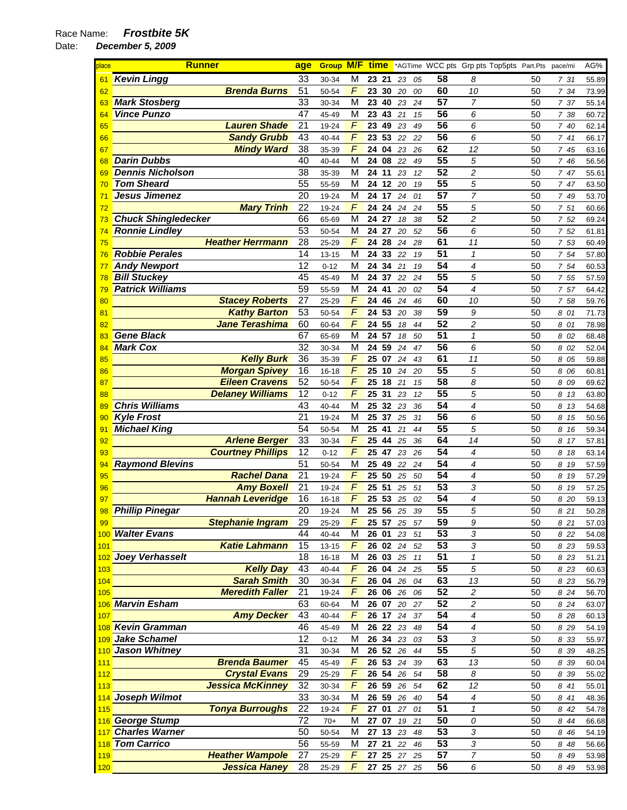| place    | <b>Runner</b>                                | age             | Group M/F time |                 |        |                      |             |          | *AGTime WCC pts Grp pts Top5pts Part.Pts |                          |          | pace/mi      | AG%            |
|----------|----------------------------------------------|-----------------|----------------|-----------------|--------|----------------------|-------------|----------|------------------------------------------|--------------------------|----------|--------------|----------------|
| 61       | <b>Kevin Lingg</b>                           | 33              | 30-34          | M               |        | 23 21                | 23          | 05       | 58                                       | 8                        | 50       | 731          | 55.89          |
| 62       | <b>Brenda Burns</b>                          | 51              | 50-54          | F               |        | 23 30                | 20          | 00       | 60                                       | 10                       | 50       | 7 34         | 73.99          |
| 63       | <b>Mark Stosberg</b>                         | 33              | 30-34          | M               |        | 23 40                | 23          | 24       | $\overline{57}$                          | $\overline{7}$           | 50       | 7 37         | 55.14          |
| 64       | <b>Vince Punzo</b>                           | 47              | 45-49          | М               |        | 23 43                | 21          | 15       | 56                                       | 6                        | 50       | 7 38         | 60.72          |
| 65       | <b>Lauren Shade</b>                          | $\overline{21}$ | 19-24          | F               | 23     | 49                   | 23          | 49       | 56                                       | 6                        | 50       | 7 40         | 62.14          |
| 66       | <b>Sandy Grubb</b>                           | 43              | 40-44          | $\overline{F}$  |        | 23 53                | 22          | 22       | 56                                       | 6                        | 50       | 741          | 66.17          |
| 67       | <b>Mindy Ward</b>                            | 38              | 35-39          | $\overline{F}$  |        | 24 04                | 23          | 26       | 62                                       | 12                       | 50       | 7 45         | 63.16          |
| 68       | <b>Darin Dubbs</b>                           | 40              | 40-44          | M               |        | 24 08                | 22          | 49       | 55                                       | 5                        | 50       | 7 46         | 56.56          |
| 69       | <b>Dennis Nicholson</b>                      | 38              | 35-39          | M               |        | 24 11                | 23          | 12       | 52                                       | 2                        | 50       | 7 47         | 55.61          |
| 70       | <b>Tom Sheard</b>                            | $\overline{55}$ | 55-59          | M               |        | 24 12                | 20          | 19       | $\overline{55}$                          | 5                        | 50       | 7 47         | 63.50          |
| 71       | Jesus Jimenez                                | 20              | 19-24          | M               |        | 24 17                | 24          | 01       | $\overline{57}$                          | 7                        | 50       | 7 49         | 53.70          |
| 72       | <b>Mary Trinh</b>                            | 22              | 19-24          | F               |        | 24 24                | 24          | 24       | $\overline{55}$                          | 5                        | 50       | 7 51         | 60.66          |
| 73       | <b>Chuck Shingledecker</b>                   | 66              | 65-69          | M               |        | 24 27                | 18          | 38       | $\overline{52}$                          | $\overline{c}$           | 50       | 7 52         | 69.24          |
| 74       | <b>Ronnie Lindley</b>                        | 53              | 50-54          | M               |        | 24 27                | 20          | 52       | $\overline{56}$                          | 6                        | 50       | 7 52         | 61.81          |
| 75       | <b>Heather Herrmann</b>                      | $\overline{28}$ | 25-29          | F               | 24     | 28                   | 24          | 28       | 61                                       | $\overline{11}$          | 50       | 7 53         | 60.49          |
| 76       | <b>Robbie Perales</b>                        | 14              | $13 - 15$      | M               | 24     | 33                   | 22          | 19       | 51                                       | $\mathbf{1}$             | 50       | 7 54         | 57.80          |
| 77       | <b>Andy Newport</b>                          | 12              | $0 - 12$       | M               |        | 24 34                | 21          | 19       | 54                                       | 4                        | 50       | 7 54         | 60.53          |
| 78       | <b>Bill Stuckey</b>                          | 45              | 45-49          | M               |        | 24 37                | 22          | 24       | 55                                       | 5                        | 50       | 7 55         | 57.59          |
| 79       | <b>Patrick Williams</b>                      | 59              | 55-59          | M               |        | 24 41                | 20          | 02       | 54                                       | 4                        | 50       | 7 57         | 64.42          |
| 80       | <b>Stacey Roberts</b>                        | $\overline{27}$ | 25-29          | F               |        | 24 46                | 24          | 46       | 60                                       | 10                       | 50       | 7 58         | 59.76          |
| 81       | <b>Kathy Barton</b><br><b>Jane Terashima</b> | 53<br>60        | 50-54          | F<br>F          |        | 24 53<br>24 55       | 20          | 38       | 59<br>52                                 | 9<br>$\overline{c}$      | 50       | 8 01         | 71.73          |
| 82       | <b>Gene Black</b>                            | 67              | 60-64          | M               |        | 24 57                | 18          | 44       | $\overline{51}$                          | $\mathbf{1}$             | 50<br>50 | 8 01         | 78.98          |
| 83<br>84 | <b>Mark Cox</b>                              | 32              | 65-69<br>30-34 | M               | 24     | 59                   | 18<br>24    | 50<br>47 | 56                                       | 6                        | 50       | 8 02<br>8 02 | 68.48<br>52.04 |
| 85       | <b>Kelly Burk</b>                            | $\overline{36}$ | 35-39          | $\overline{F}$  |        | 25 07                | 24          | 43       | 61                                       | 11                       | 50       | 8 05         | 59.88          |
| 86       | <b>Morgan Spivey</b>                         | 16              | $16 - 18$      | F               | 25     | 10                   | 24          | 20       | 55                                       | 5                        | 50       | 8 06         | 60.81          |
| 87       | <b>Eileen Cravens</b>                        | $\overline{52}$ | 50-54          | $\overline{F}$  |        | 25 18                | 21          | 15       | 58                                       | 8                        | 50       | 8 09         | 69.62          |
| 88       | <b>Delaney Williams</b>                      | 12              | $0 - 12$       | $\overline{F}$  |        | 25 31                | 23          | 12       | 55                                       | 5                        | 50       | 8 13         | 63.80          |
| 89       | <b>Chris Williams</b>                        | 43              | 40-44          | M               | $25\,$ | 32                   | 23          | 36       | 54                                       | 4                        | 50       | 8 13         | 54.68          |
| 90       | <b>Kyle Frost</b>                            | 21              | 19-24          | M               |        | 25 37                | 25          | 31       | 56                                       | 6                        | 50       | 8 15         | 50.56          |
| 91       | <b>Michael King</b>                          | 54              | 50-54          | М               |        | 25 41                | 21          | 44       | 55                                       | 5                        | 50       | 8 16         | 59.34          |
| 92       | <b>Arlene Berger</b>                         | $\overline{33}$ | 30-34          | F               | 25     | 44                   | 25          | 36       | 64                                       | 14                       | 50       | 8 17         | 57.81          |
| 93       | <b>Courtney Phillips</b>                     | 12              | $0 - 12$       | F               |        | 25 47                | 23          | 26       | $\overline{54}$                          | 4                        | 50       | 8 18         | 63.14          |
| 94       | <b>Raymond Blevins</b>                       | 51              | 50-54          | M               | 25     | 49                   | 22          | 24       | 54                                       | $\overline{4}$           | 50       | 8 19         | 57.59          |
| 95       | <b>Rachel Dana</b>                           | 21              | 19-24          | F               |        | 25 50                | 25          | 50       | $\overline{54}$                          | $\overline{\mathcal{L}}$ | 50       | 8 19         | 57.29          |
| 96       | <b>Amy Boxell</b>                            | 21              | 19-24          | $\overline{F}$  |        | 25 51                | 25          | 51       | 53                                       | 3                        | 50       | 8 19         | 57.25          |
| 97       | <b>Hannah Leveridge</b>                      | 16              | 16-18          | F               | 25     | 53                   | 25          | 02       | 54                                       | $\overline{4}$           | 50       | 8 20         | 59.13          |
| 98       | <b>Phillip Pinegar</b>                       | 20              | 19-24          | M               |        | 25 56                | 25          | 39       | 55                                       | 5                        | 50       | 8 21         | 50.28          |
| 99       | <b>Stephanie Ingram</b>                      | 29              | 25-29          | F               |        |                      | 25 57 25 57 |          | 59                                       | 9                        | 50       | 8 21         | 57.03          |
|          | 100 Walter Evans                             | 44              | 40-44          | M               |        | 26 01                | 23          | 51       | 53                                       | 3                        | 50       | 8 2 2        | 54.08          |
| 101      | <b>Katie Lahmann</b>                         | 15              | $13 - 15$      | F               |        |                      | 26 02 24    | 52       | 53                                       | 3                        | 50       | 8 2 3        | 59.53          |
|          | 102 Joey Verhasselt                          | $\overline{18}$ | $16 - 18$      | M               |        | 26 03 25             |             | 11       | $\overline{51}$                          | $\mathbf{1}$             | 50       | 8 2 3        | 51.21          |
| 103      | <b>Kelly Day</b>                             | 43<br>30        | 40-44          | F<br>$\sqrt{ }$ |        | 26 04 24             |             | 25       | 55<br>63                                 | 5                        | 50       | 8 2 3        | 60.63          |
| 104      | <b>Sarah Smith</b><br><b>Meredith Faller</b> | 21              | 30-34          | $\sqrt{ }$      |        | 26 04 26<br>26 06 26 |             | 04       | $\overline{52}$                          | 13<br>$\overline{c}$     | 50<br>50 | 8 2 3        | 56.79          |
| 105      | 106 Marvin Esham                             | 63              | 19-24<br>60-64 | M               |        | 26 07 20             |             | 06<br>27 | 52                                       | 2                        | 50       | 8 24<br>8 24 | 56.70<br>63.07 |
| 107      | <b>Amy Decker</b>                            | 43              | $40 - 44$      | $\overline{F}$  |        | 26 17 24             |             | 37       | 54                                       | $\overline{4}$           | 50       | 8 28         | 60.13          |
|          | 108 Kevin Gramman                            | 46              | 45-49          | M               |        | 26 22                | 23          | 48       | 54                                       | 4                        | 50       | 8 2 9        | 54.19          |
|          | 109 Jake Schamel                             | 12              | $0 - 12$       | M               |        | 26 34 23             |             | 03       | 53                                       | 3                        | 50       | 8 33         | 55.97          |
|          | 110 Jason Whitney                            | 31              | 30-34          | M               |        | 26 52                | 26          | 44       | 55                                       | 5                        | 50       | 8 3 9        | 48.25          |
| 111      | <b>Brenda Baumer</b>                         | 45              | 45-49          | F               |        | 26 53                | 24          | 39       | 63                                       | 13                       | 50       | 8 39         | 60.04          |
| 112      | <b>Crystal Evans</b>                         | 29              | 25-29          | F               |        | 26 54 26             |             | 54       | 58                                       | 8                        | 50       | 8 3 9        | 55.02          |
| 113      | <b>Jessica McKinney</b>                      | 32              | 30-34          | $\digamma$      |        | 26 59 26             |             | 54       | 62                                       | 12                       | 50       | 8 41         | 55.01          |
|          | 114 Joseph Wilmot                            | 33              | 30-34          | M               |        | 26 59 26             |             | 40       | 54                                       | 4                        | 50       | 8 41         | 48.36          |
| 115      | <b>Tonya Burroughs</b>                       | 22              | 19-24          | F               |        | $\overline{27}$ 01   | 27          | 01       | $\overline{51}$                          | $\mathbf{1}$             | 50       | 8 42         | 54.78          |
|          | 116 George Stump                             | 72              | $70+$          | M               |        | 27 07 19             |             | 21       | 50                                       | 0                        | 50       | 8 44         | 66.68          |
|          | 117 Charles Warner                           | 50              | 50-54          | M               |        | 27 13 23             |             | 48       | 53                                       | 3                        | 50       | 8 4 6        | 54.19          |
|          | 118 Tom Carrico                              | 56              | 55-59          | M               |        | 27 21                | 22          | 46       | 53                                       | 3                        | 50       | 8 48         | 56.66          |
| 119      | <b>Heather Wampole</b>                       | 27              | 25-29          | $\sqrt{ }$      |        | 27 25                | 27          | 25       | 57                                       | $\overline{7}$           | 50       | 8 49         | 53.98          |
| 120      | <b>Jessica Haney</b>                         | 28              | 25-29          | F               |        |                      | 27 25 27 25 |          | 56                                       | 6                        | 50       | 8 49         | 53.98          |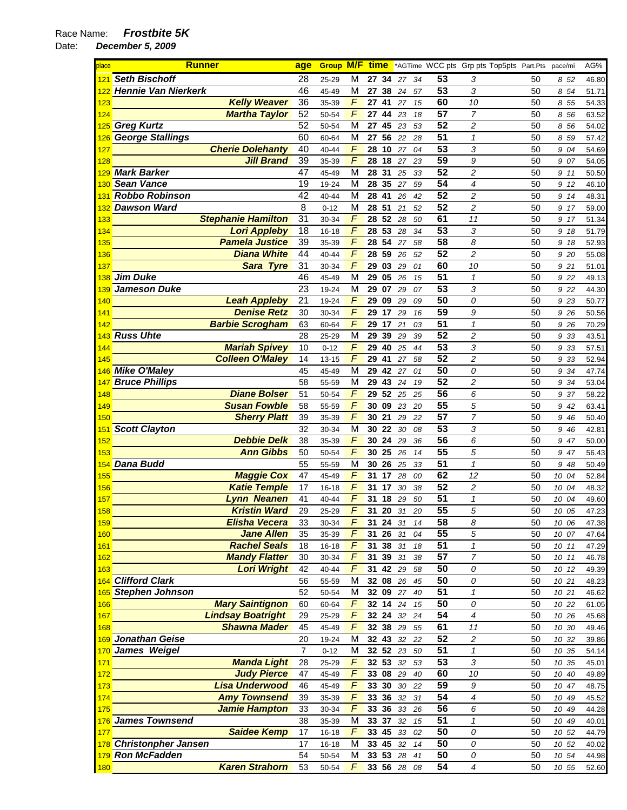| place       | <b>Runner</b>              | age             |           |                |       |          |    |    |                 | <b>Group M/F time</b> *AGTime WCC pts Grp pts Top5pts Part.Pts pace/mi |    |       | AG%   |
|-------------|----------------------------|-----------------|-----------|----------------|-------|----------|----|----|-----------------|------------------------------------------------------------------------|----|-------|-------|
| 121         | <b>Seth Bischoff</b>       | 28              | 25-29     | M              | 27 34 |          | 27 | 34 | 53              | 3                                                                      | 50 | 852   | 46.80 |
|             | <b>Hennie Van Nierkerk</b> | 46              | 45-49     | M              | 27 38 |          | 24 | 57 | $\overline{53}$ | 3                                                                      | 50 | 8 54  | 51.71 |
| 123         | <b>Kelly Weaver</b>        | 36              | 35-39     | F              | 27 41 |          | 27 | 15 | 60              | 10                                                                     | 50 | 8 55  | 54.33 |
| 124         | <b>Martha Taylor</b>       | 52              | 50-54     | F              | 27    | 44       | 23 | 18 | $\overline{57}$ | $\overline{7}$                                                         | 50 | 8 56  | 63.52 |
|             | 125 Greg Kurtz             | 52              | 50-54     | M              | 27    | 45       | 23 | 53 | 52              | 2                                                                      | 50 | 8 56  | 54.02 |
|             | 126 George Stallings       | 60              | 60-64     | M              | 27    | 56       | 22 | 28 | 51              | $\pmb{\mathcal{1}}$                                                    | 50 | 8 59  | 57.42 |
| 127         | <b>Cherie Dolehanty</b>    | 40              | 40-44     | $\overline{F}$ | 28 10 |          | 27 | 04 | $\overline{53}$ | 3                                                                      | 50 | 9 04  | 54.69 |
| 128         | <b>Jill Brand</b>          | 39              | 35-39     | $\overline{F}$ | 28 18 |          | 27 | 23 | 59              | 9                                                                      | 50 | 9 07  | 54.05 |
|             | <b>Mark Barker</b>         | 47              | 45-49     | M              | 28 31 |          | 25 | 33 | 52              | 2                                                                      | 50 | 9 11  | 50.50 |
| 130         | <b>Sean Vance</b>          | 19              | 19-24     | M              | 28 35 |          | 27 | 59 | $\overline{54}$ | 4                                                                      | 50 | 9 12  | 46.10 |
| 131         | <b>Robbo Robinson</b>      | 42              | 40-44     | M              | 28 41 |          | 26 | 42 | 52              | 2                                                                      | 50 | 9 14  | 48.31 |
|             | <b>Dawson Ward</b>         | 8               | $0 - 12$  | M              | 28 51 |          | 21 | 52 | $\overline{52}$ | 2                                                                      | 50 | 9 17  | 59.00 |
| 133         | <b>Stephanie Hamilton</b>  | 31              | 30-34     | $\sqrt{2}$     |       | 28 52 28 |    | 50 | 61              | 11                                                                     | 50 | 9 17  | 51.34 |
| 134         | <b>Lori Appleby</b>        | 18              | $16 - 18$ | F              | 28 53 |          | 28 | 34 | 53              | 3                                                                      | 50 | 9 18  | 51.79 |
| 135         | <b>Pamela Justice</b>      | 39              | 35-39     | $\overline{F}$ | 28 54 |          | 27 | 58 | 58              | 8                                                                      | 50 | 9 18  | 52.93 |
| 136         | <b>Diana White</b>         | 44              | 40-44     | $\overline{F}$ | 28 59 |          | 26 | 52 | 52              | 2                                                                      | 50 | 9 20  | 55.08 |
| 137         | Sara Tyre                  | 31              | 30-34     | $\overline{F}$ | 29 03 |          | 29 | 01 | 60              | 10                                                                     | 50 | 9 21  | 51.01 |
| 138         | <b>Jim Duke</b>            | 46              | 45-49     | M              | 29 05 |          | 26 | 15 | 51              | $\mathbf{1}$                                                           | 50 | 9 22  | 49.13 |
| 139         | <b>Jameson Duke</b>        | 23              | 19-24     | M              | 29 07 |          | 29 | 07 | 53              | 3                                                                      | 50 | 9 22  | 44.30 |
| 140         | <b>Leah Appleby</b>        | 21              | 19-24     | $\overline{F}$ | 29 09 |          | 29 | 09 | 50              | 0                                                                      | 50 | 9 23  | 50.77 |
| <u>141</u>  | <b>Denise Retz</b>         | 30              | 30-34     | F              |       | 29 17 29 |    | 16 | 59              | 9                                                                      | 50 | 9 26  | 50.56 |
| 142         | <b>Barbie Scrogham</b>     | 63              | 60-64     | F              | 29 17 |          | 21 | 03 | 51              | $\mathcal I$                                                           | 50 | 9 26  | 70.29 |
| 143         | <b>Russ Uhte</b>           | 28              | 25-29     | M              | 29 39 |          | 29 | 39 | $\overline{52}$ | 2                                                                      | 50 | 9 3 3 | 43.51 |
| 144         | <b>Mariah Spivey</b>       | 10              | $0 - 12$  | F              | 29 40 |          | 25 | 44 | 53              | 3                                                                      | 50 | 9 33  | 57.51 |
| 145         | <b>Colleen O'Maley</b>     | 14              | $13 - 15$ | $\overline{F}$ | 29    | 41       | 27 | 58 | 52              | 2                                                                      | 50 | 9 33  | 52.94 |
|             | 146 Mike O'Maley           | 45              | 45-49     | M              | 29 42 |          | 27 | 01 | 50              | 0                                                                      | 50 | 9 34  | 47.74 |
| 147         | <b>Bruce Phillips</b>      | 58              | 55-59     | M              | 29    | 43       | 24 | 19 | 52              | 2                                                                      | 50 | 9 34  | 53.04 |
| 148         | <b>Diane Bolser</b>        | 51              | 50-54     | $\sqrt{2}$     | 29 52 |          | 25 | 25 | 56              | 6                                                                      | 50 | 9 37  | 58.22 |
| 149         | <b>Susan Fowble</b>        | 58              | 55-59     | F              | 30 09 |          | 23 | 20 | 55              | 5                                                                      | 50 | 9 42  | 63.41 |
| 150         | <b>Sherry Platt</b>        | 39              | 35-39     | $\overline{F}$ | 30 21 |          | 29 | 22 | $\overline{57}$ | 7                                                                      | 50 | 9 46  | 50.40 |
| <u> 151</u> | <b>Scott Clayton</b>       | 32              | 30-34     | M              | 30 22 |          | 30 | 08 | 53              | 3                                                                      | 50 | 9 46  | 42.81 |
| 152         | <b>Debbie Delk</b>         | 38              | 35-39     | F              | 30 24 |          | 29 | 36 | 56              | 6                                                                      | 50 | 9 47  | 50.00 |
| 153         | <b>Ann Gibbs</b>           | 50              | 50-54     | F              | 30 25 |          | 26 | 14 | $\overline{55}$ | 5                                                                      | 50 | 9 47  | 56.43 |
| 154         | <b>Dana Budd</b>           | 55              | 55-59     | M              | 30 26 |          | 25 | 33 | $\overline{51}$ | $\mathbf{1}$                                                           | 50 | 9 48  | 50.49 |
| 155         | <b>Maggie Cox</b>          | 47              | 45-49     | F              | 31    | 17       | 28 | 00 | 62              | 12                                                                     | 50 | 10 04 | 52.84 |
| <b>156</b>  | <b>Katie Temple</b>        | 17              | $16 - 18$ | $\sqrt{ }$     | 31 17 |          | 30 | 38 | 52              | 2                                                                      | 50 | 10 04 | 48.32 |
| 157         | <b>Lynn Neanen</b>         | 41              | 40-44     | F              | 31    | 18       | 29 | 50 | $\overline{51}$ | $\mathbf{1}$                                                           | 50 | 10 04 | 49.60 |
| 158         | <b>Kristin Ward</b>        | 29              | 25-29     | F              | 31    | 20       | 31 | 20 | 55              | 5                                                                      | 50 | 10 05 | 47.23 |
| 159         | <b>Elisha Vecera</b>       | 33              | 30-34     | F              |       | 31 24 31 |    | 14 | 58              | 8                                                                      | 50 | 10 06 | 47.38 |
| 160         | <b>Jane Allen</b>          | 35              | 35-39     | F              | 31    | 26       | 31 | 04 | 55              | 5                                                                      | 50 | 10 07 | 47.64 |
| 161         | <b>Rachel Seals</b>        | 18              | $16 - 18$ | F              | 31 38 |          | 31 | 18 | 51              | 1                                                                      | 50 | 10 11 | 47.29 |
| 162         | <b>Mandy Flatter</b>       | 30              | 30-34     | $\overline{F}$ |       | 31 39    | 31 | 38 | 57              | 7                                                                      | 50 | 10 11 | 46.78 |
| 163         | <b>Lori Wright</b>         | 42              | 40-44     | F              | 31    | 42 29    |    | 58 | 50              | 0                                                                      | 50 | 10 12 | 49.39 |
| 164         | <b>Clifford Clark</b>      | 56              | 55-59     | M              |       | 32 08 26 |    | 45 | $\overline{50}$ | 0                                                                      | 50 | 10 21 | 48.23 |
| <b>165</b>  | <b>Stephen Johnson</b>     | 52              | 50-54     | M              | 32 09 |          | 27 | 40 | $\overline{51}$ | $\mathbf{1}$                                                           | 50 | 10 21 | 46.62 |
| 166         | <b>Mary Saintignon</b>     | 60              | 60-64     | $\sqrt{ }$     |       | 32 14 24 |    | 15 | 50              | 0                                                                      | 50 | 10 22 | 61.05 |
| <b>167</b>  | <b>Lindsay Boatright</b>   | 29              | 25-29     | $\overline{F}$ | 32 24 |          | 32 | 24 | 54              | 4                                                                      | 50 | 10 26 | 45.68 |
| 168         | <b>Shawna Mader</b>        | 45              | 45-49     | F              | 32 38 |          | 29 | 55 | 61              | 11                                                                     | 50 | 10 30 | 49.46 |
|             | 169 Jonathan Geise         | 20              | 19-24     | M              | 32 43 |          | 32 | 22 | 52              | 2                                                                      | 50 | 10 32 | 39.86 |
| 170         | James Weigel               | $\overline{7}$  | $0 - 12$  | M              | 32 52 |          | 23 | 50 | 51              | $\pmb{\mathcal{1}}$                                                    | 50 | 10 35 | 54.14 |
| 171         | <b>Manda Light</b>         | 28              | 25-29     | F              | 32 53 |          | 32 | 53 | 53              | 3                                                                      | 50 | 10 35 | 45.01 |
| 172         | <b>Judy Pierce</b>         | 47              | 45-49     | $\overline{F}$ |       | 33 08 29 |    | 40 | 60              | 10                                                                     | 50 | 10 40 | 49.89 |
| 173         | <b>Lisa Underwood</b>      | 46              | 45-49     | F              | 33 30 |          | 30 | 22 | 59              | 9                                                                      | 50 | 10 47 | 48.75 |
| 174         | <b>Amy Townsend</b>        | 39              | 35-39     | F              | 33 36 |          | 32 | 31 | $\overline{54}$ | 4                                                                      | 50 | 10 49 | 45.52 |
| 175         | <b>Jamie Hampton</b>       | 33              | 30-34     | $\overline{F}$ | 33 36 |          | 33 | 26 | 56              | 6                                                                      | 50 | 10 49 | 44.28 |
| 176         | <b>James Townsend</b>      | 38              | 35-39     | M              | 33 37 |          | 32 | 15 | 51              | $\pmb{\mathcal{1}}$                                                    | 50 | 10 49 | 40.01 |
| 177         | <b>Saidee Kemp</b>         | $\overline{17}$ | $16 - 18$ | $\overline{F}$ | 33 45 |          | 33 | 02 | 50              | 0                                                                      | 50 | 10 52 | 44.79 |
| 178         | <b>Christonpher Jansen</b> | 17              | $16 - 18$ | M              | 33 45 |          | 32 | 14 | 50              | 0                                                                      | 50 | 10 52 | 40.02 |
|             | 179 Ron McFadden           | 54              | 50-54     | M              | 33 53 |          | 28 | 41 | 50              | 0                                                                      | 50 | 10 54 | 44.98 |
| <b>180</b>  | <b>Karen Strahorn</b>      | 53              | 50-54     | $\overline{F}$ |       | 33 56 28 |    | 08 | 54              | $\boldsymbol{4}$                                                       | 50 | 10 55 | 52.60 |